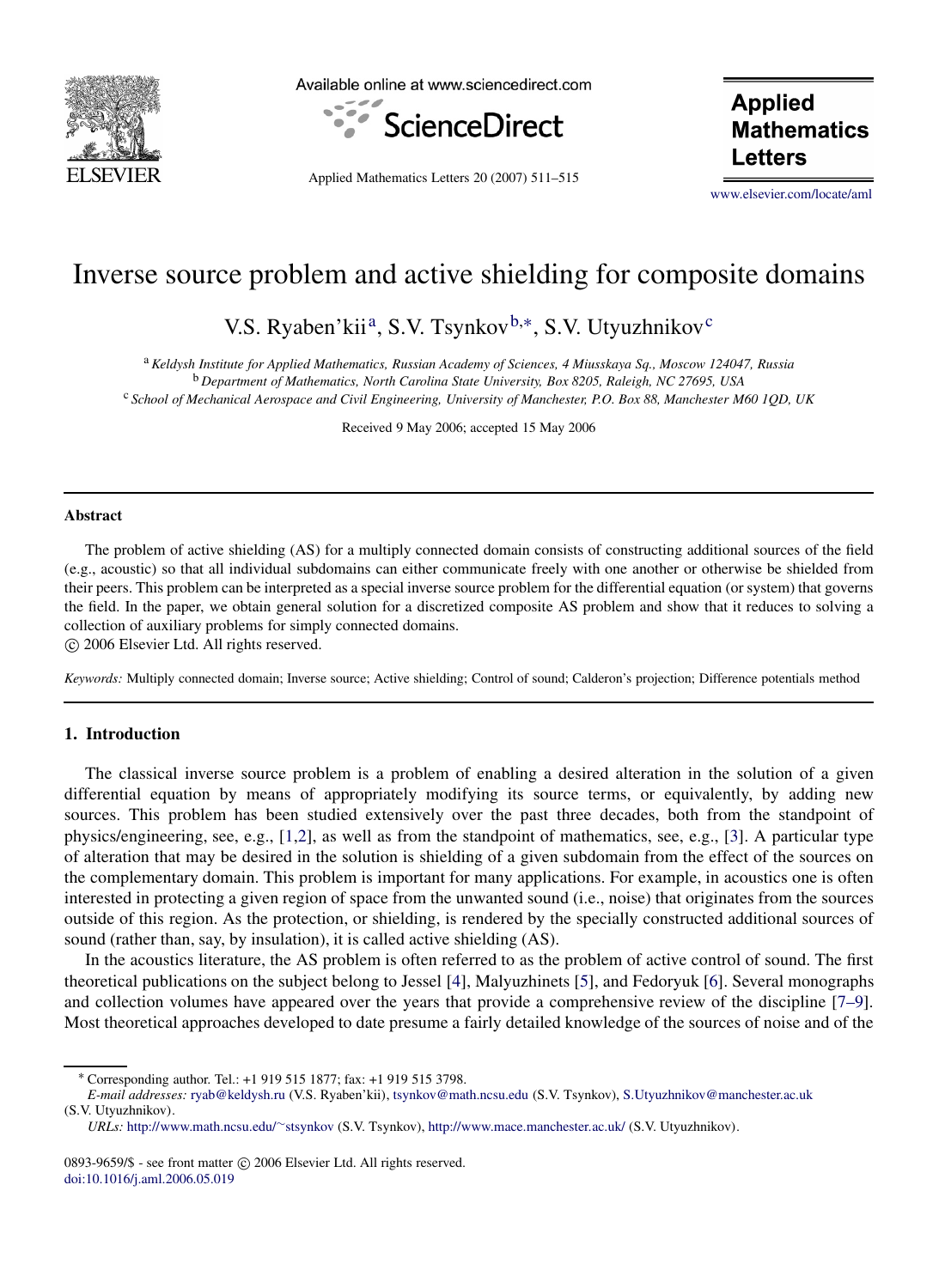

Available online at www.sciencedirect.com



Applied Mathematics Letters 20 (2007) 511–515

**Applied Mathematics Letters** 

[www.elsevier.com/locate/aml](http://www.elsevier.com/locate/aml)

# Inverse source problem and active shielding for composite domains

V.S. Ryaben'kii<sup>a</sup>, S.V. Tsynkov<sup>b,[∗](#page-0-2)</sup>, S.V. Utyuzhnikov<sup>[c](#page-0-3)</sup>

<span id="page-0-3"></span><span id="page-0-1"></span><span id="page-0-0"></span><sup>a</sup> *Keldysh Institute for Applied Mathematics, Russian Academy of Sciences, 4 Miusskaya Sq., Moscow 124047, Russia* <sup>b</sup> *Department of Mathematics, North Carolina State University, Box 8205, Raleigh, NC 27695, USA* <sup>c</sup> *School of Mechanical Aerospace and Civil Engineering, University of Manchester, P.O. Box 88, Manchester M60 1QD, UK*

Received 9 May 2006; accepted 15 May 2006

#### **Abstract**

The problem of active shielding (AS) for a multiply connected domain consists of constructing additional sources of the field (e.g., acoustic) so that all individual subdomains can either communicate freely with one another or otherwise be shielded from their peers. This problem can be interpreted as a special inverse source problem for the differential equation (or system) that governs the field. In the paper, we obtain general solution for a discretized composite AS problem and show that it reduces to solving a collection of auxiliary problems for simply connected domains.

c 2006 Elsevier Ltd. All rights reserved.

*Keywords:* Multiply connected domain; Inverse source; Active shielding; Control of sound; Calderon's projection; Difference potentials method

## **1. Introduction**

The classical inverse source problem is a problem of enabling a desired alteration in the solution of a given differential equation by means of appropriately modifying its source terms, or equivalently, by adding new sources. This problem has been studied extensively over the past three decades, both from the standpoint of physics/engineering, see, e.g., [\[1,](#page-4-0)[2\]](#page-4-1), as well as from the standpoint of mathematics, see, e.g., [\[3\]](#page-4-2). A particular type of alteration that may be desired in the solution is shielding of a given subdomain from the effect of the sources on the complementary domain. This problem is important for many applications. For example, in acoustics one is often interested in protecting a given region of space from the unwanted sound (i.e., noise) that originates from the sources outside of this region. As the protection, or shielding, is rendered by the specially constructed additional sources of sound (rather than, say, by insulation), it is called active shielding (AS).

In the acoustics literature, the AS problem is often referred to as the problem of active control of sound. The first theoretical publications on the subject belong to Jessel [\[4\]](#page-4-3), Malyuzhinets [\[5\]](#page-4-4), and Fedoryuk [\[6\]](#page-4-5). Several monographs and collection volumes have appeared over the years that provide a comprehensive review of the discipline [\[7–9\]](#page-4-6). Most theoretical approaches developed to date presume a fairly detailed knowledge of the sources of noise and of the

<sup>∗</sup> Corresponding author. Tel.: +1 919 515 1877; fax: +1 919 515 3798.

<span id="page-0-2"></span>*E-mail addresses:* [ryab@keldysh.ru](mailto:ryab@keldysh.ru) (V.S. Ryaben'kii), [tsynkov@math.ncsu.edu](mailto:tsynkov@math.ncsu.edu) (S.V. Tsynkov), [S.Utyuzhnikov@manchester.ac.uk](mailto:S.Utyuzhnikov@manchester.ac.uk) (S.V. Utyuzhnikov).

*URLs:* [http://www.math.ncsu.edu/](http://www.math.ncsu.edu/~stsynkov)∼[stsynkov](http://www.math.ncsu.edu/~stsynkov) (S.V. Tsynkov), <http://www.mace.manchester.ac.uk/> (S.V. Utyuzhnikov).

<sup>0893-9659/\$ -</sup> see front matter © 2006 Elsevier Ltd. All rights reserved. [doi:10.1016/j.aml.2006.05.019](http://dx.doi.org/10.1016/j.aml.2006.05.019)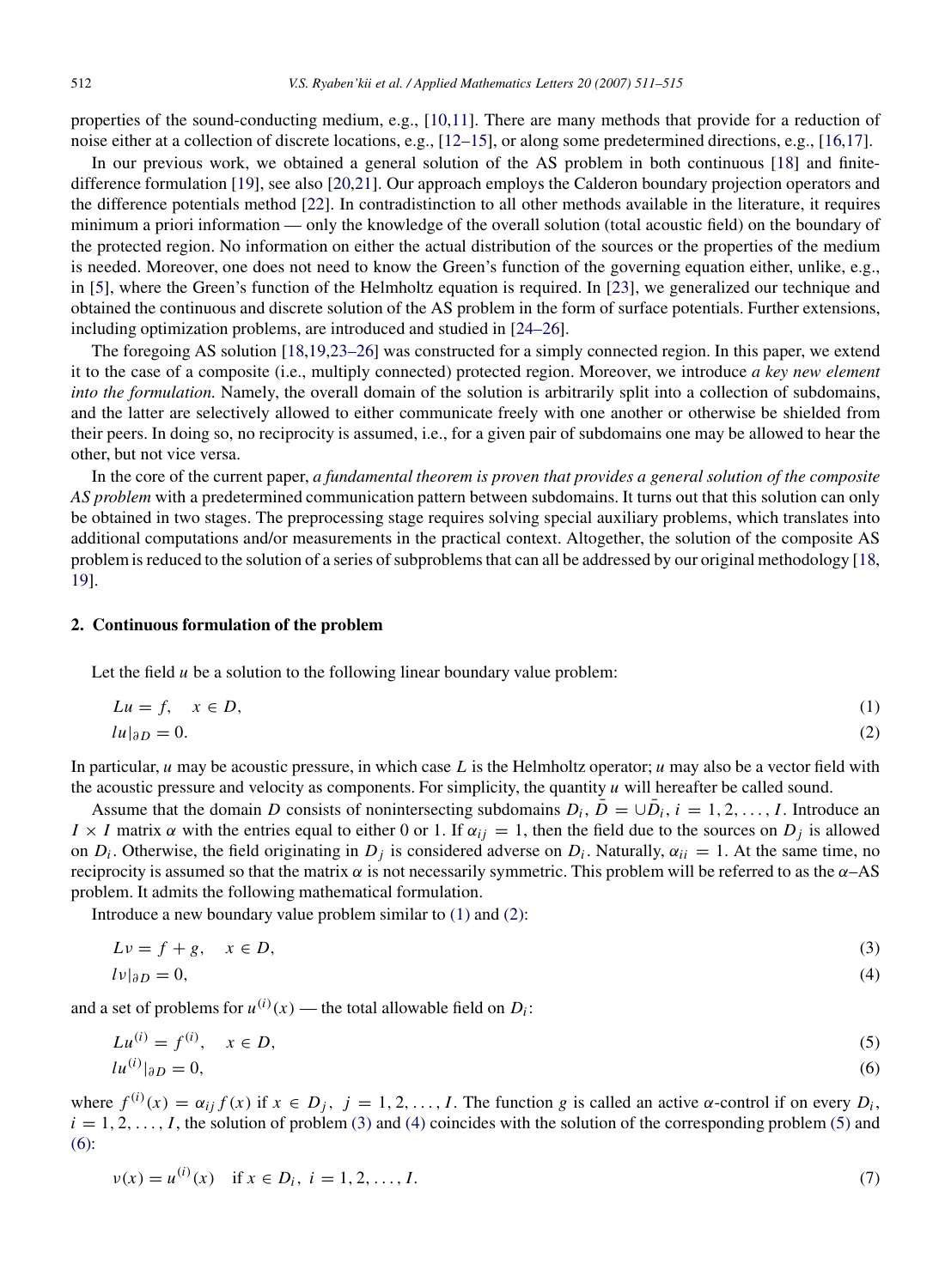properties of the sound-conducting medium, e.g., [\[10,](#page-4-7)[11\]](#page-4-8). There are many methods that provide for a reduction of noise either at a collection of discrete locations, e.g., [\[12–15\]](#page-4-9), or along some predetermined directions, e.g., [\[16](#page-4-10)[,17\]](#page-4-11).

In our previous work, we obtained a general solution of the AS problem in both continuous [\[18\]](#page-4-12) and finitedifference formulation [\[19\]](#page-4-13), see also [\[20,](#page-4-14)[21\]](#page-4-15). Our approach employs the Calderon boundary projection operators and the difference potentials method [\[22\]](#page-4-16). In contradistinction to all other methods available in the literature, it requires minimum a priori information — only the knowledge of the overall solution (total acoustic field) on the boundary of the protected region. No information on either the actual distribution of the sources or the properties of the medium is needed. Moreover, one does not need to know the Green's function of the governing equation either, unlike, e.g., in [\[5\]](#page-4-4), where the Green's function of the Helmholtz equation is required. In [\[23\]](#page-4-17), we generalized our technique and obtained the continuous and discrete solution of the AS problem in the form of surface potentials. Further extensions, including optimization problems, are introduced and studied in [\[24–26\]](#page-4-18).

The foregoing AS solution [\[18](#page-4-12)[,19](#page-4-13)[,23–26\]](#page-4-17) was constructed for a simply connected region. In this paper, we extend it to the case of a composite (i.e., multiply connected) protected region. Moreover, we introduce *a key new element into the formulation.* Namely, the overall domain of the solution is arbitrarily split into a collection of subdomains, and the latter are selectively allowed to either communicate freely with one another or otherwise be shielded from their peers. In doing so, no reciprocity is assumed, i.e., for a given pair of subdomains one may be allowed to hear the other, but not vice versa.

In the core of the current paper, *a fundamental theorem is proven that provides a general solution of the composite AS problem* with a predetermined communication pattern between subdomains. It turns out that this solution can only be obtained in two stages. The preprocessing stage requires solving special auxiliary problems, which translates into additional computations and/or measurements in the practical context. Altogether, the solution of the composite AS problem is reduced to the solution of a series of subproblems that can all be addressed by our original methodology [\[18,](#page-4-12) [19\]](#page-4-13).

#### **2. Continuous formulation of the problem**

Let the field *u* be a solution to the following linear boundary value problem:

<span id="page-1-1"></span><span id="page-1-0"></span>
$$
Lu = f, \quad x \in D,\tag{1}
$$

$$
lu|_{\partial D} = 0.\tag{2}
$$

In particular, *u* may be acoustic pressure, in which case *L* is the Helmholtz operator; *u* may also be a vector field with the acoustic pressure and velocity as components. For simplicity, the quantity *u* will hereafter be called sound.

Assume that the domain *D* consists of nonintersecting subdomains  $D_i$ ,  $\bar{D} = \cup \bar{D}_i$ ,  $i = 1, 2, ..., I$ . Introduce an  $I \times I$  matrix  $\alpha$  with the entries equal to either 0 or 1. If  $\alpha_{ij} = 1$ , then the field due to the sources on  $D_j$  is allowed on  $D_i$ . Otherwise, the field originating in  $D_j$  is considered adverse on  $D_i$ . Naturally,  $\alpha_{ii} = 1$ . At the same time, no reciprocity is assumed so that the matrix  $\alpha$  is not necessarily symmetric. This problem will be referred to as the  $\alpha$ –AS problem. It admits the following mathematical formulation.

Introduce a new boundary value problem similar to [\(1\)](#page-1-0) and [\(2\):](#page-1-1)

<span id="page-1-3"></span><span id="page-1-2"></span>
$$
Lv = f + g, \quad x \in D,\tag{3}
$$

$$
l\nu|_{\partial D} = 0,\tag{4}
$$

and a set of problems for  $u^{(i)}(x)$  — the total allowable field on  $D_i$ :

$$
Lu^{(i)} = f^{(i)}, \quad x \in D,\tag{5}
$$

<span id="page-1-5"></span><span id="page-1-4"></span>
$$
|u^{(i)}|_{\partial D} = 0,\tag{6}
$$

where  $f^{(i)}(x) = \alpha_{ij} f(x)$  if  $x \in D_j$ ,  $j = 1, 2, ..., I$ . The function *g* is called an active  $\alpha$ -control if on every  $D_i$ ,  $i = 1, 2, \ldots, I$ , the solution of problem [\(3\)](#page-1-2) and [\(4\)](#page-1-3) coincides with the solution of the corresponding problem [\(5\)](#page-1-4) and [\(6\):](#page-1-5)

$$
v(x) = u^{(i)}(x) \quad \text{if } x \in D_i, \ i = 1, 2, \dots, I. \tag{7}
$$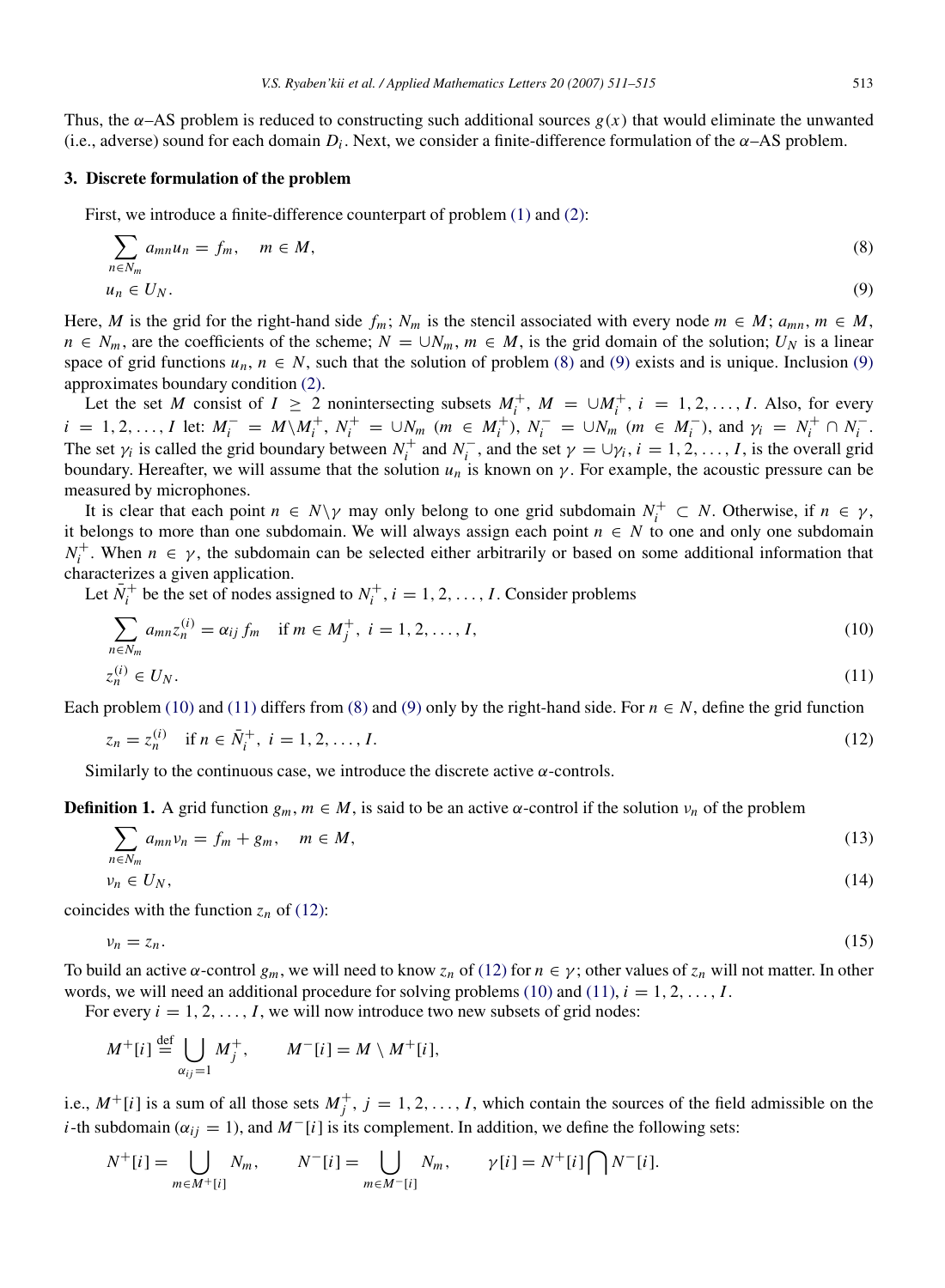Thus, the  $\alpha$ –AS problem is reduced to constructing such additional sources  $g(x)$  that would eliminate the unwanted (i.e., adverse) sound for each domain  $D_i$ . Next, we consider a finite-difference formulation of the  $\alpha$ –AS problem.

#### **3. Discrete formulation of the problem**

First, we introduce a finite-difference counterpart of problem  $(1)$  and  $(2)$ :

<span id="page-2-1"></span><span id="page-2-0"></span>
$$
\sum_{n \in N_m} a_{mn} u_n = f_m, \quad m \in M,
$$
\n
$$
u_n \in U_N.
$$
\n(8)

Here, *M* is the grid for the right-hand side  $f_m$ ;  $N_m$  is the stencil associated with every node  $m \in M$ ;  $a_{mn}$ ,  $m \in M$ ,  $n \in N_m$ , are the coefficients of the scheme;  $N = \bigcup N_m$ ,  $m \in M$ , is the grid domain of the solution;  $U_N$  is a linear space of grid functions  $u_n$ ,  $n \in N$ , such that the solution of problem [\(8\)](#page-2-0) and [\(9\)](#page-2-1) exists and is unique. Inclusion (9) approximates boundary condition [\(2\).](#page-1-1)

Let the set *M* consist of  $I \ge 2$  nonintersecting subsets  $M_i^+$ ,  $M = \cup M_i^+$ ,  $i = 1, 2, ..., I$ . Also, for every  $i = 1, 2, ..., I$  let:  $M_i^- = M \setminus M_i^+, N_i^+ = \cup N_m$   $(m \in M_i^+), N_i^- = \cup N_m$   $(m \in M_i^-),$  and  $\gamma_i = N_i^+ \cap N_i^-$ . The set  $\gamma_i$  is called the grid boundary between  $N_i^+$  and  $N_i^-$ , and the set  $\gamma = \cup \gamma_i$ ,  $i = 1, 2, ..., I$ , is the overall grid boundary. Hereafter, we will assume that the solution  $u_n$  is known on  $\gamma$ . For example, the acoustic pressure can be measured by microphones.

It is clear that each point  $n \in N \setminus \gamma$  may only belong to one grid subdomain  $N_i^+ \subset N$ . Otherwise, if  $n \in \gamma$ , it belongs to more than one subdomain. We will always assign each point  $n \in N$  to one and only one subdomain  $N_i^+$ . When  $n \in \gamma$ , the subdomain can be selected either arbitrarily or based on some additional information that characterizes a given application.

Let  $N_i^+$  be the set of nodes assigned to  $N_i^+$ ,  $i = 1, 2, ..., I$ . Consider problems

<span id="page-2-3"></span><span id="page-2-2"></span>
$$
\sum_{n \in N_m} a_{mn} z_n^{(i)} = \alpha_{ij} f_m \quad \text{if } m \in M_j^+, \ i = 1, 2, \dots, I,
$$
\n
$$
z_n^{(i)} \in U_N.
$$
\n
$$
(10)
$$
\n
$$
(11)
$$

Each problem [\(10\)](#page-2-2) and [\(11\)](#page-2-3) differs from [\(8\)](#page-2-0) and [\(9\)](#page-2-1) only by the right-hand side. For  $n \in N$ , define the grid function

<span id="page-2-4"></span>
$$
z_n = z_n^{(i)} \quad \text{if } n \in \bar{N}_i^+, \ i = 1, 2, \dots, I. \tag{12}
$$

Similarly to the continuous case, we introduce the discrete active  $\alpha$ -controls.

<span id="page-2-5"></span>**Definition 1.** A grid function  $g_m$ ,  $m \in M$ , is said to be an active  $\alpha$ -control if the solution  $v_n$  of the problem

$$
\sum_{n \in \mathbb{N}} a_{mn} v_n = f_m + g_m, \quad m \in M,
$$
\n<sup>(13)</sup>

$$
n \in N_m
$$
  
\n
$$
\nu_n \in U_N,
$$
\n(14)

coincides with the function  $z_n$  of [\(12\):](#page-2-4)

$$
\nu_n = z_n. \tag{15}
$$

To build an active  $\alpha$ -control  $g_m$ , we will need to know  $z_n$  of [\(12\)](#page-2-4) for  $n \in \gamma$ ; other values of  $z_n$  will not matter. In other words, we will need an additional procedure for solving problems [\(10\)](#page-2-2) and [\(11\),](#page-2-3)  $i = 1, 2, \ldots, I$ .

For every  $i = 1, 2, \ldots, I$ , we will now introduce two new subsets of grid nodes:

$$
M^+[i] \stackrel{\text{def}}{=} \bigcup_{\alpha_{ij}=1} M_j^+, \qquad M^-[i] = M \setminus M^+[i],
$$

i.e.,  $M^+[i]$  is a sum of all those sets  $M_j^+, j = 1, 2, ..., I$ , which contain the sources of the field admissible on the *i*-th subdomain ( $\alpha_{ij} = 1$ ), and  $M^{-}[i]$  is its complement. In addition, we define the following sets:

$$
N^+[i] = \bigcup_{m \in M^+[i]} N_m, \qquad N^-[i] = \bigcup_{m \in M^-[i]} N_m, \qquad \gamma[i] = N^+[i] \bigcap N^-[i].
$$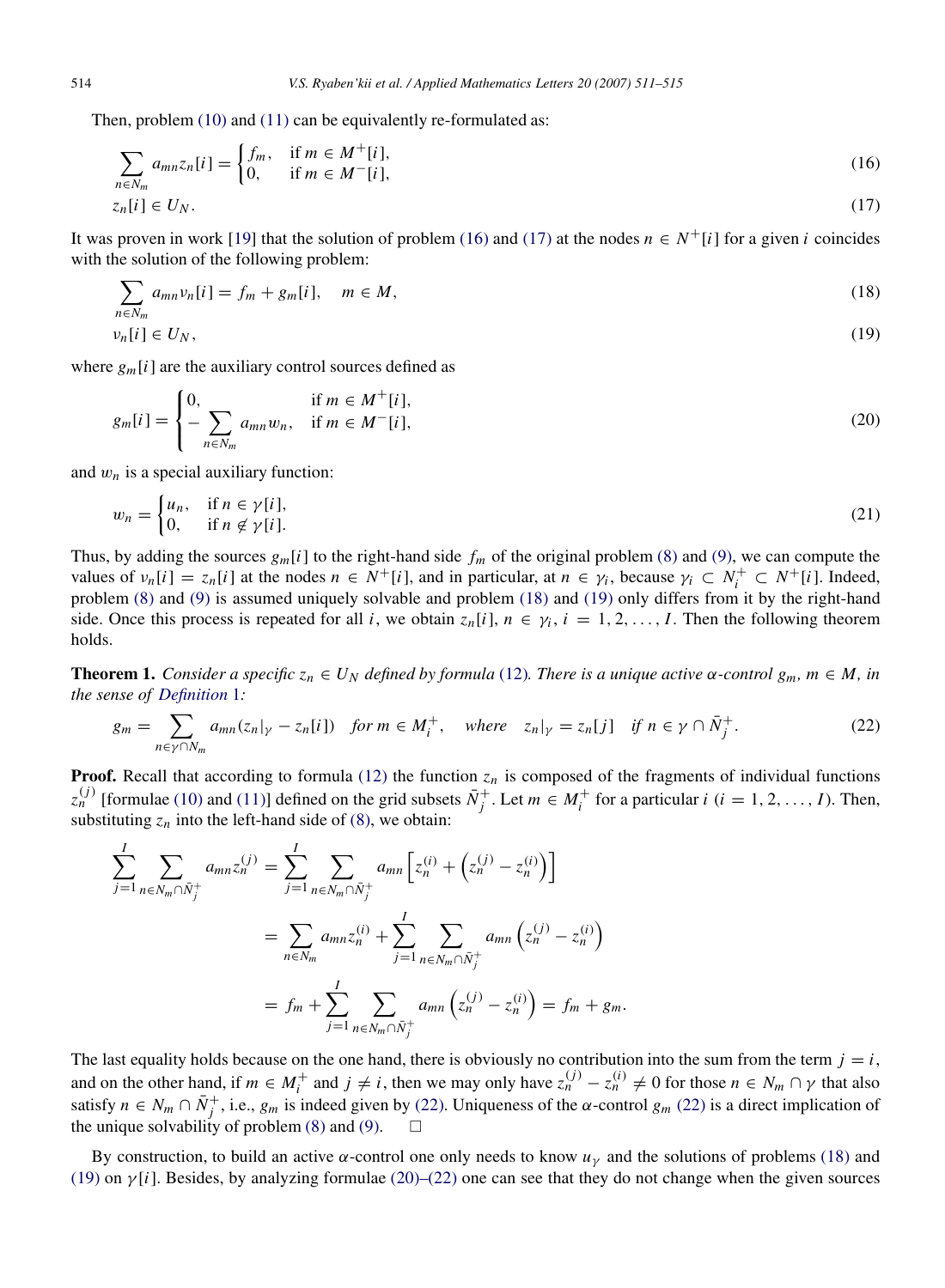Then, problem [\(10\)](#page-2-2) and [\(11\)](#page-2-3) can be equivalently re-formulated as:

<span id="page-3-1"></span><span id="page-3-0"></span>
$$
\sum_{n \in N_m} a_{mn} z_n[i] = \begin{cases} f_m, & \text{if } m \in M^+[i], \\ 0, & \text{if } m \in M^-[i], \end{cases}
$$
 (16)

$$
z_n[i] \in U_N. \tag{17}
$$

It was proven in work [\[19\]](#page-4-13) that the solution of problem [\(16\)](#page-3-0) and [\(17\)](#page-3-1) at the nodes  $n \in N^+$ [*i*] for a given *i* coincides with the solution of the following problem:

<span id="page-3-2"></span>
$$
\sum_{n \in N_m} a_{mn} v_n[i] = f_m + g_m[i], \quad m \in M,
$$
\n
$$
(18)
$$

<span id="page-3-3"></span>
$$
\nu_n[i] \in U_N,\tag{19}
$$

where  $g_m[i]$  are the auxiliary control sources defined as

<span id="page-3-5"></span>
$$
g_m[i] = \begin{cases} 0, & \text{if } m \in M^+[i], \\ -\sum_{n \in N_m} a_{mn} w_n, & \text{if } m \in M^-[i], \end{cases}
$$
 (20)

and  $w_n$  is a special auxiliary function:

$$
w_n = \begin{cases} u_n, & \text{if } n \in \gamma[i], \\ 0, & \text{if } n \notin \gamma[i]. \end{cases} \tag{21}
$$

Thus, by adding the sources  $g_m[i]$  to the right-hand side  $f_m$  of the original problem [\(8\)](#page-2-0) and [\(9\),](#page-2-1) we can compute the values of  $v_n[i] = z_n[i]$  at the nodes  $n \in N^+[i]$ , and in particular, at  $n \in \gamma_i$ , because  $\gamma_i \subset N^+_i \subset N^+[i]$ . Indeed, problem [\(8\)](#page-2-0) and [\(9\)](#page-2-1) is assumed uniquely solvable and problem [\(18\)](#page-3-2) and [\(19\)](#page-3-3) only differs from it by the right-hand side. Once this process is repeated for all *i*, we obtain  $z_n[i], n \in \gamma_i, i = 1, 2, \ldots, I$ . Then the following theorem holds.

**Theorem 1.** *Consider a specific*  $z_n \in U_N$  *defined by formula* [\(12\)](#page-2-4)*. There is a unique active*  $\alpha$ -*control*  $g_m$ *,*  $m \in M$ *, in the sense of [Definition](#page-2-5)* 1*:*

<span id="page-3-4"></span>
$$
g_m = \sum_{n \in \gamma \cap N_m} a_{mn}(z_n|_{\gamma} - z_n[i]) \quad \text{for } m \in M_i^+, \quad \text{where} \quad z_n|_{\gamma} = z_n[j] \quad \text{if } n \in \gamma \cap \bar{N}_j^+.
$$

**Proof.** Recall that according to formula [\(12\)](#page-2-4) the function  $z_n$  is composed of the fragments of individual functions *z*<sup>(*j*)</sup> [formulae [\(10\)](#page-2-2) and [\(11\)\]](#page-2-3) defined on the grid subsets  $\bar{N}_j^+$ . Let  $m \in M_i^+$  for a particular *i* (*i* = 1, 2, ..., *I*). Then, substituting  $z_n$  into the left-hand side of [\(8\),](#page-2-0) we obtain:

$$
\sum_{j=1}^{I} \sum_{n \in N_m \cap \bar{N}_j^+} a_{mn} z_n^{(j)} = \sum_{j=1}^{I} \sum_{n \in N_m \cap \bar{N}_j^+} a_{mn} \left[ z_n^{(i)} + \left( z_n^{(j)} - z_n^{(i)} \right) \right]
$$
\n
$$
= \sum_{n \in N_m} a_{mn} z_n^{(i)} + \sum_{j=1}^{I} \sum_{n \in N_m \cap \bar{N}_j^+} a_{mn} \left( z_n^{(j)} - z_n^{(i)} \right)
$$
\n
$$
= f_m + \sum_{j=1}^{I} \sum_{n \in N_m \cap \bar{N}_j^+} a_{mn} \left( z_n^{(j)} - z_n^{(i)} \right) = f_m + g_m.
$$

The last equality holds because on the one hand, there is obviously no contribution into the sum from the term  $j = i$ , and on the other hand, if  $m \in M_i^+$  and  $j \neq i$ , then we may only have  $z_n^{(j)} - z_n^{(i)} \neq 0$  for those  $n \in N_m \cap \gamma$  that also satisfy  $n \in N_m \cap N_j^+$ , i.e.,  $g_m$  is indeed given by [\(22\).](#page-3-4) Uniqueness of the  $\alpha$ -control  $g_m$  [\(22\)](#page-3-4) is a direct implication of the unique solvability of problem  $(8)$  and  $(9)$ .  $\Box$ 

By construction, to build an active  $\alpha$ -control one only needs to know  $u<sub>y</sub>$  and the solutions of problems [\(18\)](#page-3-2) and [\(19\)](#page-3-3) on  $\gamma[i]$ . Besides, by analyzing formulae [\(20\)–\(22\)](#page-3-5) one can see that they do not change when the given sources